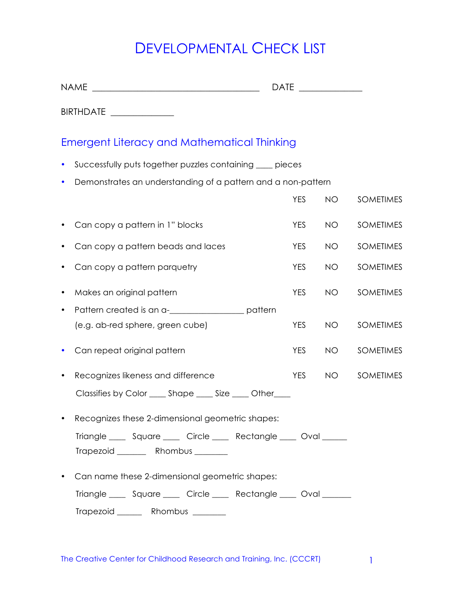## DEVELOPMENTAL CHECK LIST

| <b>NAME</b><br><u> 1989 - Johann Barn, fransk politik fotograf (d. 1989)</u> | <b>DATE</b> |           |                  |  |  |  |
|------------------------------------------------------------------------------|-------------|-----------|------------------|--|--|--|
| BIRTHDATE _____________                                                      |             |           |                  |  |  |  |
| <b>Emergent Literacy and Mathematical Thinking</b>                           |             |           |                  |  |  |  |
| Successfully puts together puzzles containing ____ pieces<br>$\bullet$       |             |           |                  |  |  |  |
| Demonstrates an understanding of a pattern and a non-pattern<br>$\bullet$    |             |           |                  |  |  |  |
|                                                                              | <b>YES</b>  | <b>NO</b> | <b>SOMETIMES</b> |  |  |  |
| Can copy a pattern in 1" blocks                                              | <b>YES</b>  | <b>NO</b> | <b>SOMETIMES</b> |  |  |  |
| Can copy a pattern beads and laces                                           | <b>YES</b>  | <b>NO</b> | <b>SOMETIMES</b> |  |  |  |
| Can copy a pattern parquetry                                                 | <b>YES</b>  | <b>NO</b> | <b>SOMETIMES</b> |  |  |  |
| Makes an original pattern                                                    | <b>YES</b>  | <b>NO</b> | <b>SOMETIMES</b> |  |  |  |
| Pattern created is an a-<br><u>Lettern</u> pattern                           |             |           |                  |  |  |  |
| (e.g. ab-red sphere, green cube)                                             | <b>YES</b>  | <b>NO</b> | <b>SOMETIMES</b> |  |  |  |
| Can repeat original pattern                                                  | <b>YES</b>  | <b>NO</b> | <b>SOMETIMES</b> |  |  |  |
| Recognizes likeness and difference                                           | <b>YES</b>  | <b>NO</b> | <b>SOMETIMES</b> |  |  |  |
| Classifies by Color _____ Shape _____ Size _____ Other____                   |             |           |                  |  |  |  |
| Recognizes these 2-dimensional appmetric shapes:                             |             |           |                  |  |  |  |

|           |               | <u>KECOQHIZES THESE Z-UIHTEHSIOHUL QEOHTEHIC SHUDES.</u> |             |
|-----------|---------------|----------------------------------------------------------|-------------|
| Triangle  | Square Circle | Rectangle _                                              | <b>Oval</b> |
| Trapezoid | Rhombus       |                                                          |             |

• Can name these 2-dimensional geometric shapes:

Triangle \_\_\_\_ Square \_\_\_\_ Circle \_\_\_\_ Rectangle \_\_\_ Oval \_\_\_\_\_\_

Trapezoid \_\_\_\_\_\_ Rhombus \_\_\_\_\_\_\_\_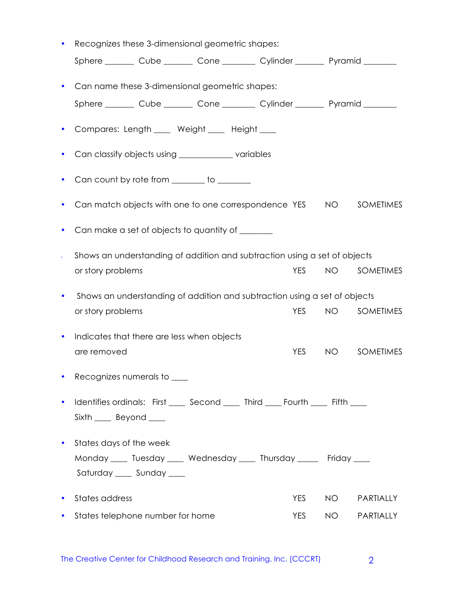| Recognizes these 3-dimensional geometric shapes: |                                                                           |  |                                                        |                                                                                  |           |                  |
|--------------------------------------------------|---------------------------------------------------------------------------|--|--------------------------------------------------------|----------------------------------------------------------------------------------|-----------|------------------|
|                                                  |                                                                           |  |                                                        | Sphere ________ Cube ________ Cone ________ Cylinder _______ Pyramid ________    |           |                  |
| $\bullet$                                        |                                                                           |  | Can name these 3-dimensional geometric shapes:         |                                                                                  |           |                  |
|                                                  |                                                                           |  |                                                        | Sphere ________ Cube ________ Cone ________ Cylinder _______ Pyramid ________    |           |                  |
| $\bullet$                                        |                                                                           |  | Compares: Length ____ Weight ____ Height ___           |                                                                                  |           |                  |
| $\bullet$                                        |                                                                           |  | Can classify objects using __________________variables |                                                                                  |           |                  |
| $\bullet$                                        |                                                                           |  | Can count by rote from ______ to ______                |                                                                                  |           |                  |
| $\bullet$                                        |                                                                           |  |                                                        | Can match objects with one to one correspondence YES                             | <b>NO</b> | <b>SOMETIMES</b> |
| $\bullet$                                        |                                                                           |  | Can make a set of objects to quantity of _______       |                                                                                  |           |                  |
| $\bullet$                                        | Shows an understanding of addition and subtraction using a set of objects |  |                                                        |                                                                                  |           |                  |
|                                                  | or story problems                                                         |  |                                                        | <b>YES</b>                                                                       | <b>NO</b> | <b>SOMETIMES</b> |
| $\bullet$                                        |                                                                           |  |                                                        | Shows an understanding of addition and subtraction using a set of objects        |           |                  |
|                                                  | or story problems                                                         |  |                                                        | <b>YES</b>                                                                       | <b>NO</b> | <b>SOMETIMES</b> |
| $\bullet$                                        |                                                                           |  | Indicates that there are less when objects             |                                                                                  |           |                  |
|                                                  | are removed                                                               |  |                                                        | <b>YES</b>                                                                       | NO        | <b>SOMETIMES</b> |
|                                                  | Recognizes numerals to ____                                               |  |                                                        |                                                                                  |           |                  |
| $\bullet$                                        | Sixth ____ Beyond ____                                                    |  |                                                        | Identifies ordinals: First _____ Second _____ Third ____ Fourth _____ Fifth ____ |           |                  |
|                                                  |                                                                           |  |                                                        |                                                                                  |           |                  |
| $\bullet$                                        | States days of the week                                                   |  |                                                        |                                                                                  |           |                  |
|                                                  |                                                                           |  |                                                        | Monday ____ Tuesday ____ Wednesday ____ Thursday _____ Friday ____               |           |                  |
|                                                  | Saturday ____ Sunday ____                                                 |  |                                                        |                                                                                  |           |                  |
| $\bullet$                                        | States address                                                            |  |                                                        | <b>YES</b>                                                                       | <b>NO</b> | PARTIALLY        |
| $\bullet$                                        | States telephone number for home                                          |  |                                                        | <b>YES</b>                                                                       | NO        | PARTIALLY        |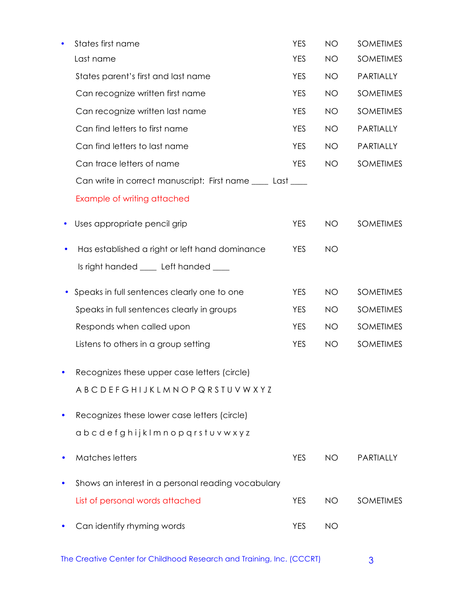|   | States first name                                          | <b>YES</b> | <b>NO</b> | <b>SOMETIMES</b> |
|---|------------------------------------------------------------|------------|-----------|------------------|
|   | Last name                                                  | <b>YES</b> | <b>NO</b> | <b>SOMETIMES</b> |
|   | States parent's first and last name                        | <b>YES</b> | NO.       | PARTIALLY        |
|   | Can recognize written first name                           | <b>YES</b> | <b>NO</b> | <b>SOMETIMES</b> |
|   | Can recognize written last name                            | <b>YES</b> | <b>NO</b> | <b>SOMETIMES</b> |
|   | Can find letters to first name                             | <b>YES</b> | <b>NO</b> | PARTIALLY        |
|   | Can find letters to last name                              | <b>YES</b> | <b>NO</b> | PARTIALLY        |
|   | Can trace letters of name                                  | <b>YES</b> | <b>NO</b> | <b>SOMETIMES</b> |
|   | Can write in correct manuscript: First name ____ Last ____ |            |           |                  |
|   | Example of writing attached                                |            |           |                  |
| ٠ | Uses appropriate pencil grip                               | <b>YES</b> | NO.       | <b>SOMETIMES</b> |
|   | Has established a right or left hand dominance             | <b>YES</b> | <b>NO</b> |                  |
|   | Is right handed ____ Left handed ____                      |            |           |                  |
|   | Speaks in full sentences clearly one to one                | <b>YES</b> | <b>NO</b> | <b>SOMETIMES</b> |
|   | Speaks in full sentences clearly in groups                 | <b>YES</b> | <b>NO</b> | <b>SOMETIMES</b> |
|   | Responds when called upon                                  | <b>YES</b> | <b>NO</b> | <b>SOMETIMES</b> |
|   | Listens to others in a group setting                       | <b>YES</b> | <b>NO</b> | <b>SOMETIMES</b> |
|   | Recognizes these upper case letters (circle)               |            |           |                  |
|   | ABCDEFGHIJKLMNOPQRSTUVWXYZ                                 |            |           |                  |
|   | Recognizes these lower case letters (circle)               |            |           |                  |
|   | abcdefghijklmnopgrstuvwxyz                                 |            |           |                  |
|   | <b>Matches letters</b>                                     | <b>YES</b> | <b>NO</b> | <b>PARTIALLY</b> |
|   | Shows an interest in a personal reading vocabulary         |            |           |                  |
|   | List of personal words attached                            | <b>YES</b> | NO.       | <b>SOMETIMES</b> |
|   | Can identify rhyming words                                 | <b>YES</b> | <b>NO</b> |                  |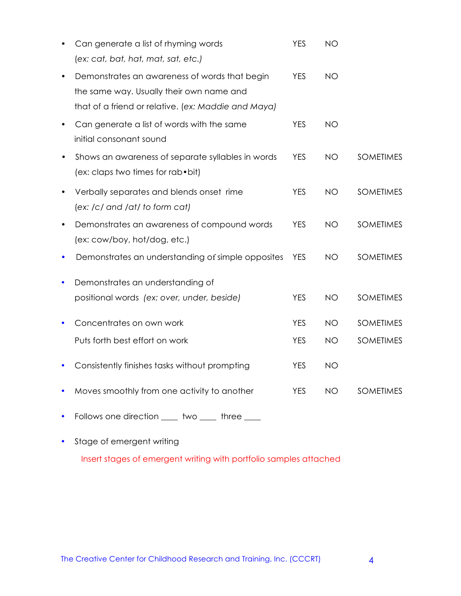|           | Can generate a list of rhyming words                | <b>YES</b> | <b>NO</b> |                  |
|-----------|-----------------------------------------------------|------------|-----------|------------------|
|           | (ex: cat, bat, hat, mat, sat, etc.)                 |            |           |                  |
|           | Demonstrates an awareness of words that begin       | <b>YES</b> | <b>NO</b> |                  |
|           | the same way. Usually their own name and            |            |           |                  |
|           | that of a friend or relative. (ex: Maddie and Maya) |            |           |                  |
| $\bullet$ | Can generate a list of words with the same          | <b>YES</b> | <b>NO</b> |                  |
|           | initial consonant sound                             |            |           |                  |
| $\bullet$ | Shows an awareness of separate syllables in words   | <b>YES</b> | <b>NO</b> | <b>SOMETIMES</b> |
|           | (ex: claps two times for rab • bit)                 |            |           |                  |
| $\bullet$ | Verbally separates and blends onset rime            | <b>YES</b> | <b>NO</b> | <b>SOMETIMES</b> |
|           | (ex: /c/ and /at/ to form cat)                      |            |           |                  |
| $\bullet$ | Demonstrates an awareness of compound words         | <b>YES</b> | <b>NO</b> | <b>SOMETIMES</b> |
|           | (ex: cow/boy, hot/dog, etc.)                        |            |           |                  |
|           | Demonstrates an understanding of simple opposites   | <b>YES</b> | NO.       | <b>SOMETIMES</b> |
| ٠         | Demonstrates an understanding of                    |            |           |                  |
|           | positional words (ex: over, under, beside)          | <b>YES</b> | <b>NO</b> | <b>SOMETIMES</b> |
|           |                                                     |            |           |                  |
| ٠         | Concentrates on own work                            | <b>YES</b> | <b>NO</b> | <b>SOMETIMES</b> |
|           | Puts forth best effort on work                      | <b>YES</b> | <b>NO</b> | <b>SOMETIMES</b> |
|           |                                                     | <b>YES</b> | <b>NO</b> |                  |
| ٠         | Consistently finishes tasks without prompting       |            |           |                  |
| ٠         | Moves smoothly from one activity to another         | <b>YES</b> | NO.       | <b>SOMETIMES</b> |
|           |                                                     |            |           |                  |
|           | Follows one direction<br>two<br>three               |            |           |                  |

• Stage of emergent writing Insert stages of emergent writing with portfolio samples attached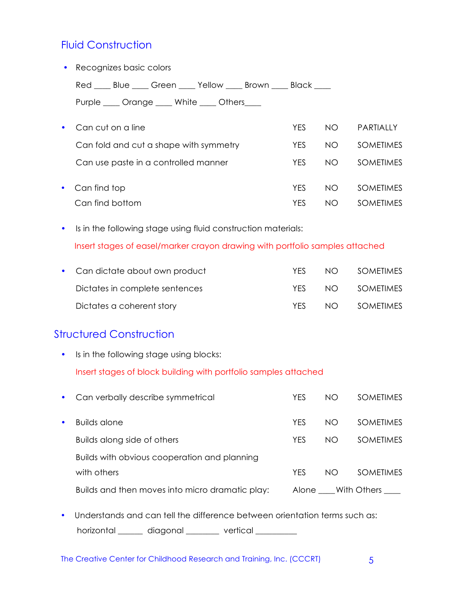#### **Fluid Construction**

| $\bullet$ | Recognizes basic colors                          |            |     |                  |
|-----------|--------------------------------------------------|------------|-----|------------------|
|           | Red Blue Green Yellow Brown Black                |            |     |                  |
|           | Purple _____ Orange _____ White ____ Others ____ |            |     |                  |
| $\bullet$ | Can cut on a line                                | <b>YES</b> | NO. | <b>PARTIALLY</b> |
|           | Can fold and cut a shape with symmetry           | <b>YES</b> | NO. | <b>SOMETIMES</b> |
|           | Can use paste in a controlled manner             | <b>YES</b> | NO. | <b>SOMETIMES</b> |
| $\bullet$ | Can find top                                     | <b>YES</b> | NO. | <b>SOMETIMES</b> |
|           | Can find bottom                                  | <b>YES</b> | NO. | <b>SOMETIMES</b> |
|           |                                                  |            |     |                  |

• Is in the following stage using fluid construction materials: Insert stages of easel/marker crayon drawing with portfolio samples attached

| • Can dictate about own product | YFS. | NO <sub>1</sub> | <b>SOMETIMES</b> |
|---------------------------------|------|-----------------|------------------|
| Dictates in complete sentences  | YFS  | NO <sub>2</sub> | SOMETIMES        |
| Dictates a coherent story       | YFS. | N <sub>O</sub>  | <b>SOMETIMES</b> |

#### Structured Construction

• Is in the following stage using blocks:

Insert stages of block building with portfolio samples attached

| $\bullet$ | Can verbally describe symmetrical               | <b>YFS</b> | NO | <b>SOMETIMES</b>  |
|-----------|-------------------------------------------------|------------|----|-------------------|
| $\bullet$ | <b>Builds alone</b>                             | <b>YFS</b> | NO | <b>SOMETIMES</b>  |
|           | Builds along side of others                     | <b>YFS</b> | NΟ | <b>SOMETIMES</b>  |
|           | Builds with obvious cooperation and planning    |            |    |                   |
|           | with others                                     | <b>YFS</b> | NO | <b>SOMETIMES</b>  |
|           | Builds and then moves into micro dramatic play: |            |    | Alone With Others |

• Understands and can tell the difference between orientation terms such as: horizontal \_\_\_\_\_\_ diagonal \_\_\_\_\_\_\_ vertical \_\_\_\_\_\_\_\_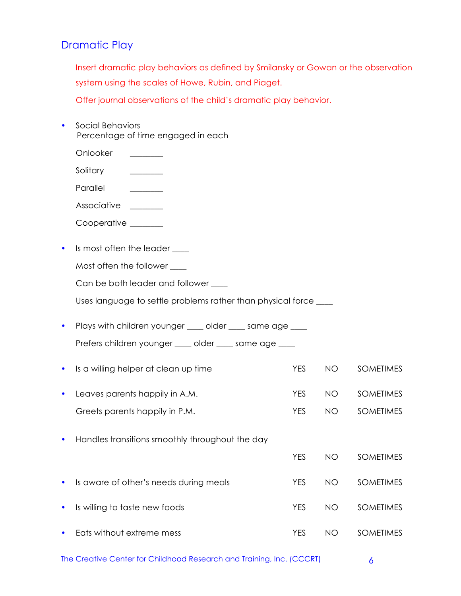#### Dramatic Play

Insert dramatic play behaviors as defined by Smilansky or Gowan or the observation system using the scales of Howe, Rubin, and Piaget.

Offer journal observations of the child's dramatic play behavior.

• Social Behaviors Percentage of time engaged in each Onlooker \_\_\_\_\_\_\_\_ Solitary \_\_\_\_\_\_\_\_ Parallel Associative **\_\_\_\_\_\_** Cooperative \_\_\_\_\_\_\_\_ • Is most often the leader \_\_\_\_ Most often the follower \_\_\_\_ Can be both leader and follower \_\_\_\_ Uses language to settle problems rather than physical force \_\_\_\_ • Plays with children younger \_\_\_\_ older \_\_\_\_ same age \_\_\_\_ Prefers children younger \_\_\_\_ older \_\_\_\_ same age \_\_\_\_ Is a willing helper at clean up time The MES NO SOMETIMES • Leaves parents happily in A.M. YES NO SOMETIMES Greets parents happily in P.M. The Manuscript Communication of the SOMETIMES • Handles transitions smoothly throughout the day YES NO SOMETIMES • Is aware of other's needs during meals The Manuster Sometimes Provides and Sometimes • Is willing to taste new foods example that the YES NO SOMETIMES • Eats without extreme mess The Manuscript Communication of the SOMETIMES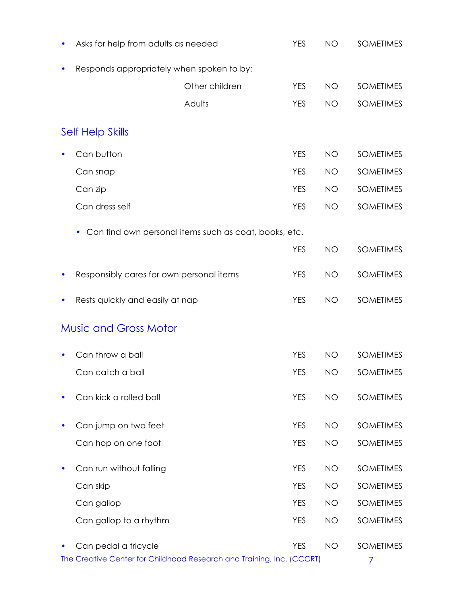| Asks for help from adults as needed                                                           | <b>YES</b> | <b>NO</b> | <b>SOMETIMES</b>      |
|-----------------------------------------------------------------------------------------------|------------|-----------|-----------------------|
| Responds appropriately when spoken to by:                                                     |            |           |                       |
| Other children                                                                                | <b>YES</b> | <b>NO</b> | <b>SOMETIMES</b>      |
| Adults                                                                                        | <b>YES</b> | <b>NO</b> | <b>SOMETIMES</b>      |
| <b>Self Help Skills</b>                                                                       |            |           |                       |
| Can button                                                                                    | <b>YES</b> | <b>NO</b> | <b>SOMETIMES</b>      |
| Can snap                                                                                      | <b>YES</b> | <b>NO</b> | <b>SOMETIMES</b>      |
| Can zip                                                                                       | <b>YES</b> | <b>NO</b> | <b>SOMETIMES</b>      |
| Can dress self                                                                                | <b>YES</b> | <b>NO</b> | <b>SOMETIMES</b>      |
| Can find own personal items such as coat, books, etc.<br>$\bullet$                            |            |           |                       |
|                                                                                               | <b>YES</b> | <b>NO</b> | <b>SOMETIMES</b>      |
| Responsibly cares for own personal items                                                      | <b>YES</b> | <b>NO</b> | <b>SOMETIMES</b>      |
| Rests quickly and easily at nap                                                               | <b>YES</b> | <b>NO</b> | <b>SOMETIMES</b>      |
| <b>Music and Gross Motor</b>                                                                  |            |           |                       |
| Can throw a ball                                                                              | <b>YES</b> | <b>NO</b> | <b>SOMETIMES</b>      |
| Can catch a ball                                                                              | <b>YES</b> | <b>NO</b> | SOMETIMES             |
| Can kick a rolled ball                                                                        | <b>YES</b> | <b>NO</b> | <b>SOMETIMES</b>      |
| Can jump on two feet                                                                          | <b>YES</b> | <b>NO</b> | <b>SOMETIMES</b>      |
| Can hop on one foot                                                                           | <b>YES</b> | <b>NO</b> | <b>SOMETIMES</b>      |
| Can run without falling                                                                       | <b>YES</b> | <b>NO</b> | <b>SOMETIMES</b>      |
| Can skip                                                                                      | <b>YES</b> | <b>NO</b> | <b>SOMETIMES</b>      |
| Can gallop                                                                                    | <b>YES</b> | <b>NO</b> | <b>SOMETIMES</b>      |
| Can gallop to a rhythm                                                                        | <b>YES</b> | <b>NO</b> | <b>SOMETIMES</b>      |
| Can pedal a tricycle<br>The Creative Center for Childhood Research and Training, Inc. (CCCRT) | <b>YES</b> | <b>NO</b> | <b>SOMETIMES</b><br>7 |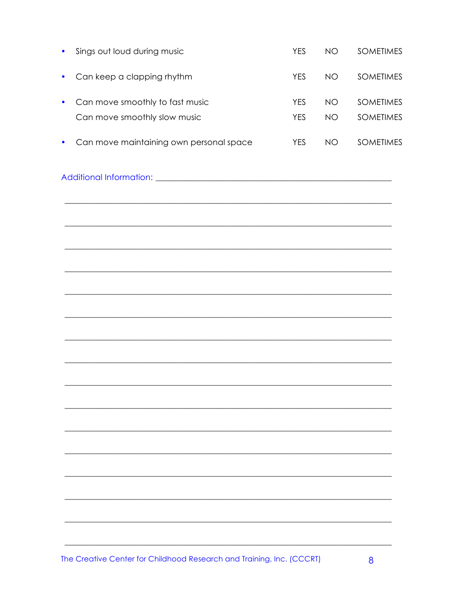| Sings out loud during music                                           | <b>YES</b> | <b>NO</b> | <b>SOMETIMES</b> |
|-----------------------------------------------------------------------|------------|-----------|------------------|
| Can keep a clapping rhythm                                            | <b>YES</b> | <b>NO</b> | <b>SOMETIMES</b> |
| Can move smoothly to fast music                                       | <b>YES</b> | <b>NO</b> | <b>SOMETIMES</b> |
| Can move smoothly slow music                                          | <b>YES</b> | <b>NO</b> | <b>SOMETIMES</b> |
| Can move maintaining own personal space                               | <b>YES</b> | <b>NO</b> | <b>SOMETIMES</b> |
|                                                                       |            |           |                  |
|                                                                       |            |           |                  |
|                                                                       |            |           |                  |
|                                                                       |            |           |                  |
|                                                                       |            |           |                  |
|                                                                       |            |           |                  |
|                                                                       |            |           |                  |
|                                                                       |            |           |                  |
|                                                                       |            |           |                  |
|                                                                       |            |           |                  |
|                                                                       |            |           |                  |
|                                                                       |            |           |                  |
|                                                                       |            |           |                  |
|                                                                       |            |           |                  |
|                                                                       |            |           |                  |
| The Creative Center for Childhood Research and Training, Inc. (CCCRT) |            |           | 8                |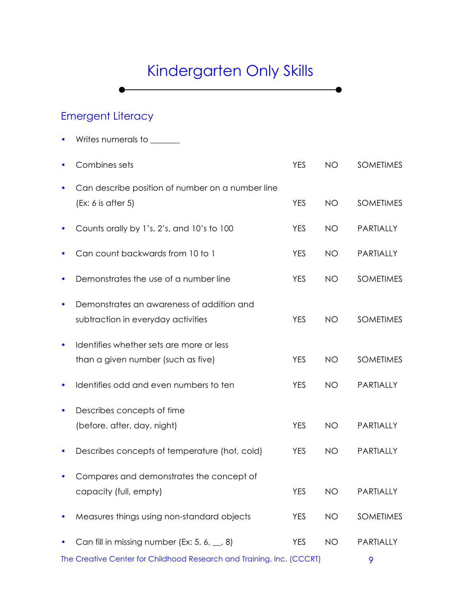# Kindergarten Only Skills

 $\bullet$ 

### Emergent Literacy

• Writes numerals to \_\_\_\_\_\_

|           | Combines sets                                                                   | <b>YES</b> | <b>NO</b> | <b>SOMETIMES</b> |
|-----------|---------------------------------------------------------------------------------|------------|-----------|------------------|
|           | Can describe position of number on a number line<br>(Ex: 6 is after 5)          | <b>YES</b> | <b>NO</b> | <b>SOMETIMES</b> |
|           | Counts orally by 1's, 2's, and 10's to 100                                      | <b>YES</b> | <b>NO</b> | PARTIALLY        |
|           | Can count backwards from 10 to 1                                                | <b>YES</b> | <b>NO</b> | PARTIALLY        |
|           | Demonstrates the use of a number line                                           | <b>YES</b> | <b>NO</b> | <b>SOMETIMES</b> |
|           | Demonstrates an awareness of addition and<br>subtraction in everyday activities | <b>YES</b> | <b>NO</b> | <b>SOMETIMES</b> |
|           | Identifies whether sets are more or less<br>than a given number (such as five)  | <b>YES</b> | <b>NO</b> | <b>SOMETIMES</b> |
|           | Identifies odd and even numbers to ten                                          | <b>YES</b> | <b>NO</b> | PARTIALLY        |
| $\bullet$ | Describes concepts of time<br>(before, after, day, night)                       | <b>YES</b> | <b>NO</b> | PARTIALLY        |
|           | Describes concepts of temperature (hot, cold)                                   | <b>YES</b> | <b>NO</b> | PARTIALLY        |
|           | Compares and demonstrates the concept of<br>capacity (full, empty)              | <b>YES</b> | <b>NO</b> | PARTIALLY        |
|           | Measures things using non-standard objects                                      | <b>YES</b> | <b>NO</b> | <b>SOMETIMES</b> |
|           | Can fill in missing number (Ex: 5, 6, $\ldots$ , 8)                             | <b>YES</b> | <b>NO</b> | PARTIALLY        |
|           | The Creative Center for Childhood Research and Training, Inc. (CCCRT)           |            |           | 9                |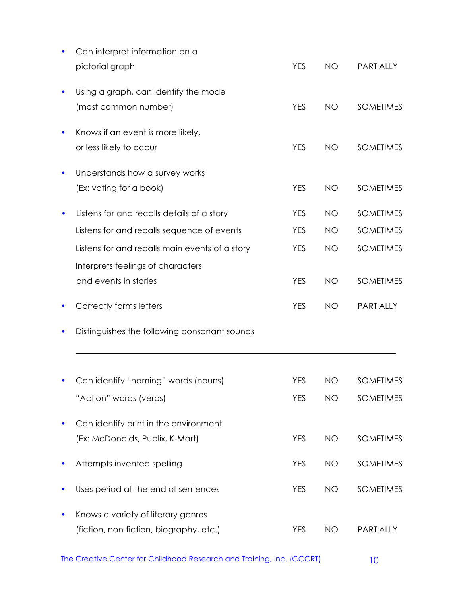| Can interpret information on a                 |            |           |                  |
|------------------------------------------------|------------|-----------|------------------|
| pictorial graph                                | <b>YES</b> | <b>NO</b> | PARTIALLY        |
| Using a graph, can identify the mode           |            |           |                  |
| (most common number)                           | <b>YES</b> | <b>NO</b> | <b>SOMETIMES</b> |
| Knows if an event is more likely,              |            |           |                  |
| or less likely to occur                        | <b>YES</b> | <b>NO</b> | <b>SOMETIMES</b> |
| Understands how a survey works                 |            |           |                  |
| (Ex: voting for a book)                        | <b>YES</b> | <b>NO</b> | <b>SOMETIMES</b> |
| Listens for and recalls details of a story     | <b>YES</b> | <b>NO</b> | <b>SOMETIMES</b> |
| Listens for and recalls sequence of events     | <b>YES</b> | <b>NO</b> | <b>SOMETIMES</b> |
| Listens for and recalls main events of a story | <b>YES</b> | <b>NO</b> | <b>SOMETIMES</b> |
| Interprets feelings of characters              |            |           |                  |
| and events in stories                          | <b>YES</b> | <b>NO</b> | <b>SOMETIMES</b> |
| Correctly forms letters                        | <b>YES</b> | <b>NO</b> | PARTIALLY        |
| Distinguishes the following consonant sounds   |            |           |                  |
|                                                |            |           |                  |
| Can identify "naming" words (nouns)            | <b>YES</b> | NO        | <b>SOMETIMES</b> |
| "Action" words (verbs)                         | <b>YES</b> | <b>NO</b> | <b>SOMETIMES</b> |
| Can identify print in the environment          |            |           |                  |
| (Ex: McDonalds, Publix, K-Mart)                |            |           |                  |
|                                                | <b>YES</b> | <b>NO</b> | <b>SOMETIMES</b> |
| Attempts invented spelling                     | <b>YES</b> | <b>NO</b> | <b>SOMETIMES</b> |
| Uses period at the end of sentences            | <b>YES</b> | <b>NO</b> | <b>SOMETIMES</b> |
| Knows a variety of literary genres             |            |           |                  |